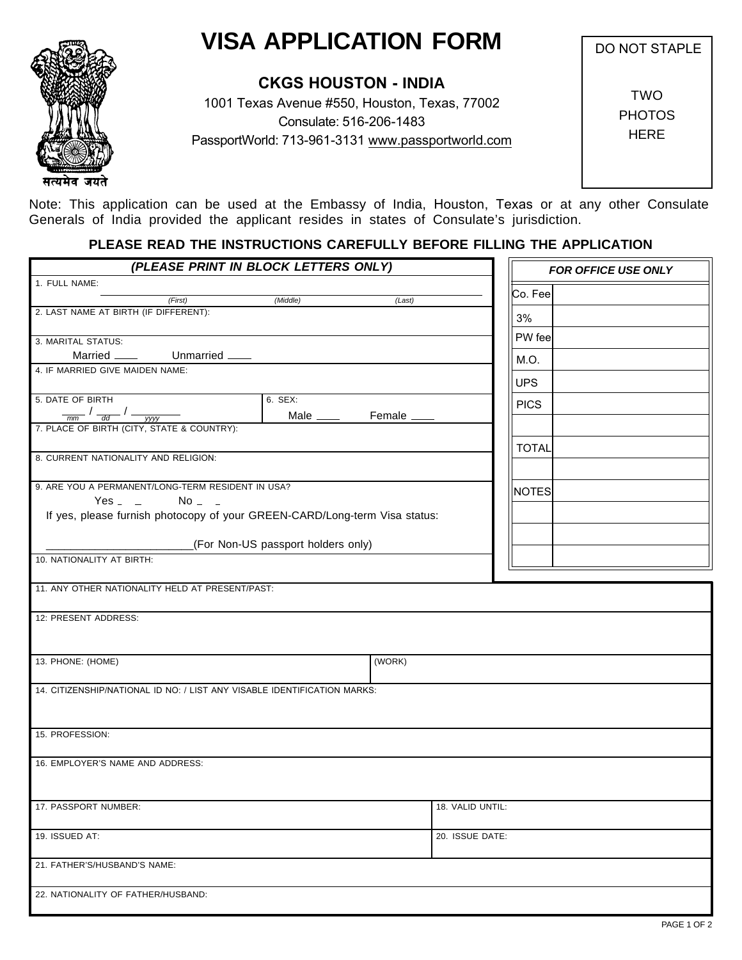## **VISA APPLICATION FORM**

सत्यमेव जयते

## **CKGS HOUSTON - INDIA**

1001 Texas Avenue #550, Houston, Texas, 77002 Consulate: 516-206-1483 PassportWorld: 713-961-3131 www.passportworld.com DO NOT STAPLE

TWO **PHOTOS HERE** 

Note: This application can be used at the Embassy of India, Houston, Texas or at any other Consulate Generals of India provided the applicant resides in states of Consulate's jurisdiction.

## **PLEASE READ THE INSTRUCTIONS CAREFULLY BEFORE FILLING THE APPLICATION**

| 1. FULL NAME:<br>Co. Fee<br>(First)<br>(Middle)<br>(Last)<br>2. LAST NAME AT BIRTH (IF DIFFERENT):<br>3%<br>PW fee<br>3. MARITAL STATUS:<br>M.O.<br>4. IF MARRIED GIVE MAIDEN NAME:<br><b>UPS</b><br>5. DATE OF BIRTH<br>6. SEX:<br><b>PICS</b><br>$\frac{1}{\frac{1}{2} \cdot \frac{1}{\frac{1}{2} \cdot \frac{1}{2} \cdot \frac{1}{2}} \cdot \frac{1}{\frac{1}{2} \cdot \frac{1}{2} \cdot \frac{1}{2} \cdot \frac{1}{2} \cdot \frac{1}{2} \cdot \frac{1}{2} \cdot \frac{1}{2} \cdot \frac{1}{2} \cdot \frac{1}{2} \cdot \frac{1}{2} \cdot \frac{1}{2} \cdot \frac{1}{2} \cdot \frac{1}{2} \cdot \frac{1}{2} \cdot \frac{1}{2} \cdot \frac{1}{2} \cdot \frac{1}{2} \cdot \frac{1}{2} \cdot \frac{1}{2}$<br><b>TOTAL</b><br>8. CURRENT NATIONALITY AND RELIGION:<br>9. ARE YOU A PERMANENT/LONG-TERM RESIDENT IN USA?<br><b>NOTES</b><br>Yes $-$<br>$No = -$<br>If yes, please furnish photocopy of your GREEN-CARD/Long-term Visa status:<br>(For Non-US passport holders only)<br>10. NATIONALITY AT BIRTH:<br>11. ANY OTHER NATIONALITY HELD AT PRESENT/PAST:<br>12: PRESENT ADDRESS:<br>13. PHONE: (HOME)<br>(WORK)<br>14. CITIZENSHIP/NATIONAL ID NO: / LIST ANY VISABLE IDENTIFICATION MARKS:<br>15. PROFESSION:<br>16. EMPLOYER'S NAME AND ADDRESS:<br>18. VALID UNTIL:<br>17. PASSPORT NUMBER:<br>19. ISSUED AT:<br>20. ISSUE DATE:<br>21. FATHER'S/HUSBAND'S NAME:<br>22. NATIONALITY OF FATHER/HUSBAND: | (PLEASE PRINT IN BLOCK LETTERS ONLY) |  |  | <b>FOR OFFICE USE ONLY</b> |  |  |
|-------------------------------------------------------------------------------------------------------------------------------------------------------------------------------------------------------------------------------------------------------------------------------------------------------------------------------------------------------------------------------------------------------------------------------------------------------------------------------------------------------------------------------------------------------------------------------------------------------------------------------------------------------------------------------------------------------------------------------------------------------------------------------------------------------------------------------------------------------------------------------------------------------------------------------------------------------------------------------------------------------------------------------------------------------------------------------------------------------------------------------------------------------------------------------------------------------------------------------------------------------------------------------------------------------------------------------------------------------------------------------------------------------------------|--------------------------------------|--|--|----------------------------|--|--|
|                                                                                                                                                                                                                                                                                                                                                                                                                                                                                                                                                                                                                                                                                                                                                                                                                                                                                                                                                                                                                                                                                                                                                                                                                                                                                                                                                                                                                   |                                      |  |  |                            |  |  |
|                                                                                                                                                                                                                                                                                                                                                                                                                                                                                                                                                                                                                                                                                                                                                                                                                                                                                                                                                                                                                                                                                                                                                                                                                                                                                                                                                                                                                   |                                      |  |  |                            |  |  |
|                                                                                                                                                                                                                                                                                                                                                                                                                                                                                                                                                                                                                                                                                                                                                                                                                                                                                                                                                                                                                                                                                                                                                                                                                                                                                                                                                                                                                   |                                      |  |  |                            |  |  |
|                                                                                                                                                                                                                                                                                                                                                                                                                                                                                                                                                                                                                                                                                                                                                                                                                                                                                                                                                                                                                                                                                                                                                                                                                                                                                                                                                                                                                   |                                      |  |  |                            |  |  |
|                                                                                                                                                                                                                                                                                                                                                                                                                                                                                                                                                                                                                                                                                                                                                                                                                                                                                                                                                                                                                                                                                                                                                                                                                                                                                                                                                                                                                   |                                      |  |  |                            |  |  |
|                                                                                                                                                                                                                                                                                                                                                                                                                                                                                                                                                                                                                                                                                                                                                                                                                                                                                                                                                                                                                                                                                                                                                                                                                                                                                                                                                                                                                   |                                      |  |  |                            |  |  |
|                                                                                                                                                                                                                                                                                                                                                                                                                                                                                                                                                                                                                                                                                                                                                                                                                                                                                                                                                                                                                                                                                                                                                                                                                                                                                                                                                                                                                   |                                      |  |  |                            |  |  |
|                                                                                                                                                                                                                                                                                                                                                                                                                                                                                                                                                                                                                                                                                                                                                                                                                                                                                                                                                                                                                                                                                                                                                                                                                                                                                                                                                                                                                   |                                      |  |  |                            |  |  |
|                                                                                                                                                                                                                                                                                                                                                                                                                                                                                                                                                                                                                                                                                                                                                                                                                                                                                                                                                                                                                                                                                                                                                                                                                                                                                                                                                                                                                   |                                      |  |  |                            |  |  |
|                                                                                                                                                                                                                                                                                                                                                                                                                                                                                                                                                                                                                                                                                                                                                                                                                                                                                                                                                                                                                                                                                                                                                                                                                                                                                                                                                                                                                   |                                      |  |  |                            |  |  |
|                                                                                                                                                                                                                                                                                                                                                                                                                                                                                                                                                                                                                                                                                                                                                                                                                                                                                                                                                                                                                                                                                                                                                                                                                                                                                                                                                                                                                   |                                      |  |  |                            |  |  |
|                                                                                                                                                                                                                                                                                                                                                                                                                                                                                                                                                                                                                                                                                                                                                                                                                                                                                                                                                                                                                                                                                                                                                                                                                                                                                                                                                                                                                   |                                      |  |  |                            |  |  |
|                                                                                                                                                                                                                                                                                                                                                                                                                                                                                                                                                                                                                                                                                                                                                                                                                                                                                                                                                                                                                                                                                                                                                                                                                                                                                                                                                                                                                   |                                      |  |  |                            |  |  |
|                                                                                                                                                                                                                                                                                                                                                                                                                                                                                                                                                                                                                                                                                                                                                                                                                                                                                                                                                                                                                                                                                                                                                                                                                                                                                                                                                                                                                   |                                      |  |  |                            |  |  |
|                                                                                                                                                                                                                                                                                                                                                                                                                                                                                                                                                                                                                                                                                                                                                                                                                                                                                                                                                                                                                                                                                                                                                                                                                                                                                                                                                                                                                   |                                      |  |  |                            |  |  |
|                                                                                                                                                                                                                                                                                                                                                                                                                                                                                                                                                                                                                                                                                                                                                                                                                                                                                                                                                                                                                                                                                                                                                                                                                                                                                                                                                                                                                   |                                      |  |  |                            |  |  |
|                                                                                                                                                                                                                                                                                                                                                                                                                                                                                                                                                                                                                                                                                                                                                                                                                                                                                                                                                                                                                                                                                                                                                                                                                                                                                                                                                                                                                   |                                      |  |  |                            |  |  |
|                                                                                                                                                                                                                                                                                                                                                                                                                                                                                                                                                                                                                                                                                                                                                                                                                                                                                                                                                                                                                                                                                                                                                                                                                                                                                                                                                                                                                   |                                      |  |  |                            |  |  |
|                                                                                                                                                                                                                                                                                                                                                                                                                                                                                                                                                                                                                                                                                                                                                                                                                                                                                                                                                                                                                                                                                                                                                                                                                                                                                                                                                                                                                   |                                      |  |  |                            |  |  |
|                                                                                                                                                                                                                                                                                                                                                                                                                                                                                                                                                                                                                                                                                                                                                                                                                                                                                                                                                                                                                                                                                                                                                                                                                                                                                                                                                                                                                   |                                      |  |  |                            |  |  |
|                                                                                                                                                                                                                                                                                                                                                                                                                                                                                                                                                                                                                                                                                                                                                                                                                                                                                                                                                                                                                                                                                                                                                                                                                                                                                                                                                                                                                   |                                      |  |  |                            |  |  |
|                                                                                                                                                                                                                                                                                                                                                                                                                                                                                                                                                                                                                                                                                                                                                                                                                                                                                                                                                                                                                                                                                                                                                                                                                                                                                                                                                                                                                   |                                      |  |  |                            |  |  |
|                                                                                                                                                                                                                                                                                                                                                                                                                                                                                                                                                                                                                                                                                                                                                                                                                                                                                                                                                                                                                                                                                                                                                                                                                                                                                                                                                                                                                   |                                      |  |  |                            |  |  |
|                                                                                                                                                                                                                                                                                                                                                                                                                                                                                                                                                                                                                                                                                                                                                                                                                                                                                                                                                                                                                                                                                                                                                                                                                                                                                                                                                                                                                   |                                      |  |  |                            |  |  |
|                                                                                                                                                                                                                                                                                                                                                                                                                                                                                                                                                                                                                                                                                                                                                                                                                                                                                                                                                                                                                                                                                                                                                                                                                                                                                                                                                                                                                   |                                      |  |  |                            |  |  |
|                                                                                                                                                                                                                                                                                                                                                                                                                                                                                                                                                                                                                                                                                                                                                                                                                                                                                                                                                                                                                                                                                                                                                                                                                                                                                                                                                                                                                   |                                      |  |  |                            |  |  |
|                                                                                                                                                                                                                                                                                                                                                                                                                                                                                                                                                                                                                                                                                                                                                                                                                                                                                                                                                                                                                                                                                                                                                                                                                                                                                                                                                                                                                   |                                      |  |  |                            |  |  |
|                                                                                                                                                                                                                                                                                                                                                                                                                                                                                                                                                                                                                                                                                                                                                                                                                                                                                                                                                                                                                                                                                                                                                                                                                                                                                                                                                                                                                   |                                      |  |  |                            |  |  |
|                                                                                                                                                                                                                                                                                                                                                                                                                                                                                                                                                                                                                                                                                                                                                                                                                                                                                                                                                                                                                                                                                                                                                                                                                                                                                                                                                                                                                   |                                      |  |  |                            |  |  |
|                                                                                                                                                                                                                                                                                                                                                                                                                                                                                                                                                                                                                                                                                                                                                                                                                                                                                                                                                                                                                                                                                                                                                                                                                                                                                                                                                                                                                   |                                      |  |  |                            |  |  |
|                                                                                                                                                                                                                                                                                                                                                                                                                                                                                                                                                                                                                                                                                                                                                                                                                                                                                                                                                                                                                                                                                                                                                                                                                                                                                                                                                                                                                   |                                      |  |  |                            |  |  |